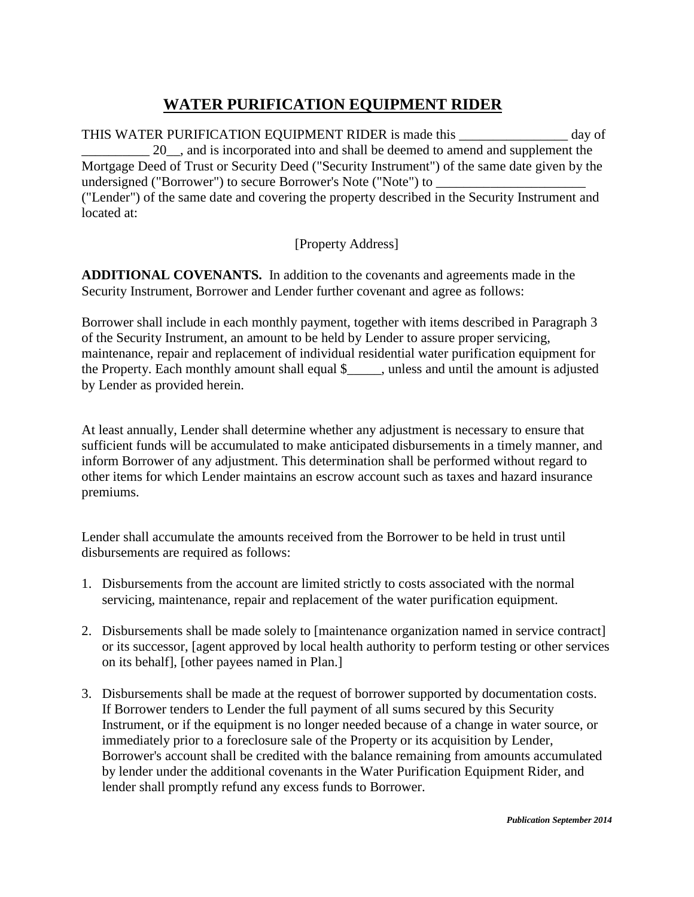## **WATER PURIFICATION EQUIPMENT RIDER**

THIS WATER PURIFICATION EQUIPMENT RIDER is made this day of 20, and is incorporated into and shall be deemed to amend and supplement the Mortgage Deed of Trust or Security Deed ("Security Instrument") of the same date given by the undersigned ("Borrower") to secure Borrower's Note ("Note") to ("Lender") of the same date and covering the property described in the Security Instrument and located at:

[Property Address]

**ADDITIONAL COVENANTS.** In addition to the covenants and agreements made in the Security Instrument, Borrower and Lender further covenant and agree as follows:

Borrower shall include in each monthly payment, together with items described in Paragraph 3 of the Security Instrument, an amount to be held by Lender to assure proper servicing, maintenance, repair and replacement of individual residential water purification equipment for the Property. Each monthly amount shall equal \$ unless and until the amount is adjusted by Lender as provided herein.

At least annually, Lender shall determine whether any adjustment is necessary to ensure that sufficient funds will be accumulated to make anticipated disbursements in a timely manner, and inform Borrower of any adjustment. This determination shall be performed without regard to other items for which Lender maintains an escrow account such as taxes and hazard insurance premiums.

Lender shall accumulate the amounts received from the Borrower to be held in trust until disbursements are required as follows:

- 1. Disbursements from the account are limited strictly to costs associated with the normal servicing, maintenance, repair and replacement of the water purification equipment.
- 2. Disbursements shall be made solely to [maintenance organization named in service contract] or its successor, [agent approved by local health authority to perform testing or other services on its behalf], [other payees named in Plan.]
- 3. Disbursements shall be made at the request of borrower supported by documentation costs. If Borrower tenders to Lender the full payment of all sums secured by this Security Instrument, or if the equipment is no longer needed because of a change in water source, or immediately prior to a foreclosure sale of the Property or its acquisition by Lender, Borrower's account shall be credited with the balance remaining from amounts accumulated by lender under the additional covenants in the Water Purification Equipment Rider, and lender shall promptly refund any excess funds to Borrower.